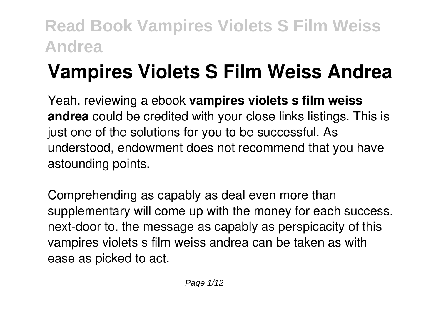# **Vampires Violets S Film Weiss Andrea**

Yeah, reviewing a ebook **vampires violets s film weiss andrea** could be credited with your close links listings. This is just one of the solutions for you to be successful. As understood, endowment does not recommend that you have astounding points.

Comprehending as capably as deal even more than supplementary will come up with the money for each success. next-door to, the message as capably as perspicacity of this vampires violets s film weiss andrea can be taken as with ease as picked to act.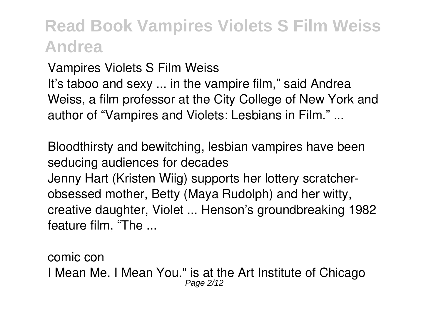Vampires Violets S Film Weiss

It's taboo and sexy ... in the vampire film," said Andrea Weiss, a film professor at the City College of New York and author of "Vampires and Violets: Lesbians in Film." ...

Bloodthirsty and bewitching, lesbian vampires have been seducing audiences for decades Jenny Hart (Kristen Wiig) supports her lottery scratcherobsessed mother, Betty (Maya Rudolph) and her witty, creative daughter, Violet ... Henson's groundbreaking 1982 feature film, "The ...

comic con I Mean Me. I Mean You." is at the Art Institute of Chicago Page 2/12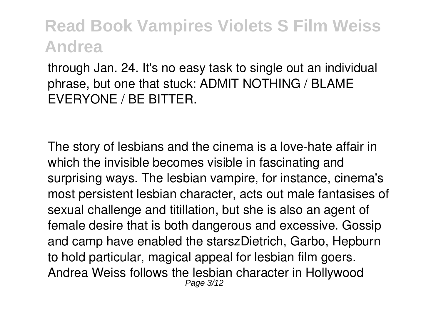through Jan. 24. It's no easy task to single out an individual phrase, but one that stuck: ADMIT NOTHING / BLAME EVERYONE / BE BITTER.

The story of lesbians and the cinema is a love-hate affair in which the invisible becomes visible in fascinating and surprising ways. The lesbian vampire, for instance, cinema's most persistent lesbian character, acts out male fantasises of sexual challenge and titillation, but she is also an agent of female desire that is both dangerous and excessive. Gossip and camp have enabled the starszDietrich, Garbo, Hepburn to hold particular, magical appeal for lesbian film goers. Andrea Weiss follows the lesbian character in Hollywood Page 3/12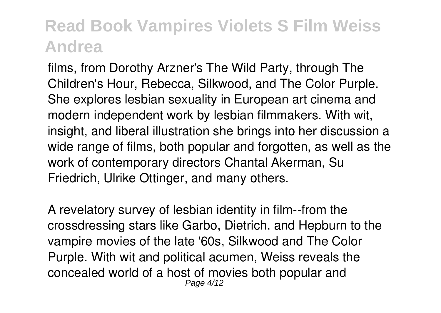films, from Dorothy Arzner's The Wild Party, through The Children's Hour, Rebecca, Silkwood, and The Color Purple. She explores lesbian sexuality in European art cinema and modern independent work by lesbian filmmakers. With wit, insight, and liberal illustration she brings into her discussion a wide range of films, both popular and forgotten, as well as the work of contemporary directors Chantal Akerman, Su Friedrich, Ulrike Ottinger, and many others.

A revelatory survey of lesbian identity in film--from the crossdressing stars like Garbo, Dietrich, and Hepburn to the vampire movies of the late '60s, Silkwood and The Color Purple. With wit and political acumen, Weiss reveals the concealed world of a host of movies both popular and Page 4/12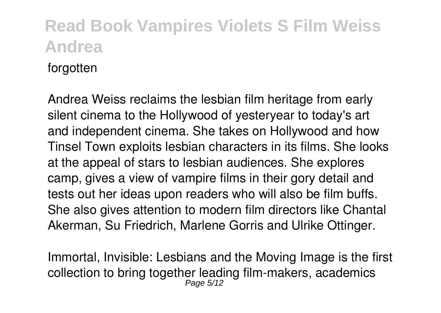forgotten

Andrea Weiss reclaims the lesbian film heritage from early silent cinema to the Hollywood of yesteryear to today's art and independent cinema. She takes on Hollywood and how Tinsel Town exploits lesbian characters in its films. She looks at the appeal of stars to lesbian audiences. She explores camp, gives a view of vampire films in their gory detail and tests out her ideas upon readers who will also be film buffs. She also gives attention to modern film directors like Chantal Akerman, Su Friedrich, Marlene Gorris and Ulrike Ottinger.

Immortal, Invisible: Lesbians and the Moving Image is the first collection to bring together leading film-makers, academics Page 5/12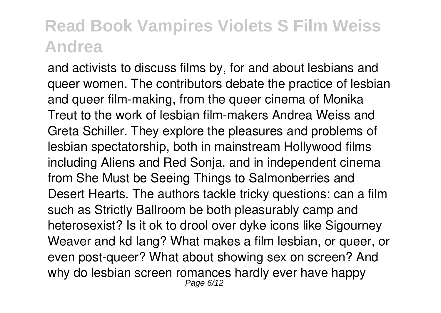and activists to discuss films by, for and about lesbians and queer women. The contributors debate the practice of lesbian and queer film-making, from the queer cinema of Monika Treut to the work of lesbian film-makers Andrea Weiss and Greta Schiller. They explore the pleasures and problems of lesbian spectatorship, both in mainstream Hollywood films including Aliens and Red Sonja, and in independent cinema from She Must be Seeing Things to Salmonberries and Desert Hearts. The authors tackle tricky questions: can a film such as Strictly Ballroom be both pleasurably camp and heterosexist? Is it ok to drool over dyke icons like Sigourney Weaver and kd lang? What makes a film lesbian, or queer, or even post-queer? What about showing sex on screen? And why do lesbian screen romances hardly ever have happy Page 6/12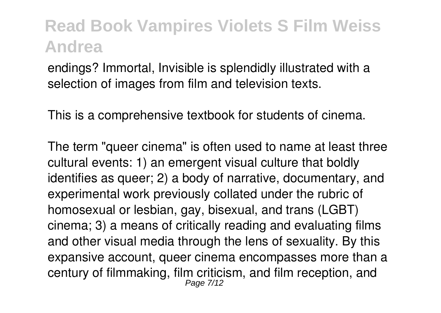endings? Immortal, Invisible is splendidly illustrated with a selection of images from film and television texts.

This is a comprehensive textbook for students of cinema.

The term "queer cinema" is often used to name at least three cultural events: 1) an emergent visual culture that boldly identifies as queer; 2) a body of narrative, documentary, and experimental work previously collated under the rubric of homosexual or lesbian, gay, bisexual, and trans (LGBT) cinema; 3) a means of critically reading and evaluating films and other visual media through the lens of sexuality. By this expansive account, queer cinema encompasses more than a century of filmmaking, film criticism, and film reception, and Page 7/12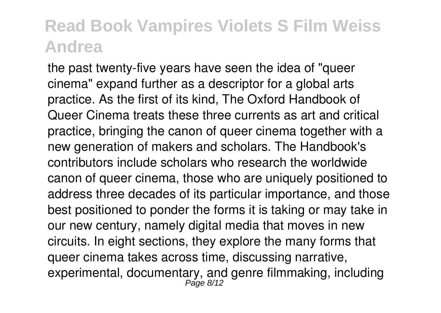the past twenty-five years have seen the idea of "queer cinema" expand further as a descriptor for a global arts practice. As the first of its kind, The Oxford Handbook of Queer Cinema treats these three currents as art and critical practice, bringing the canon of queer cinema together with a new generation of makers and scholars. The Handbook's contributors include scholars who research the worldwide canon of queer cinema, those who are uniquely positioned to address three decades of its particular importance, and those best positioned to ponder the forms it is taking or may take in our new century, namely digital media that moves in new circuits. In eight sections, they explore the many forms that queer cinema takes across time, discussing narrative, experimental, documentary, and genre filmmaking, including<br>Page 8/12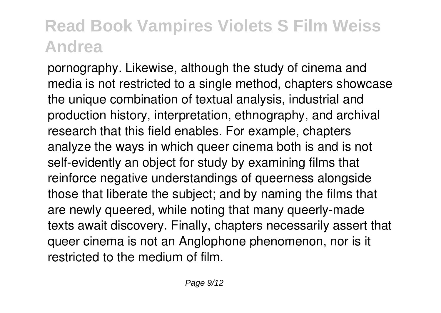pornography. Likewise, although the study of cinema and media is not restricted to a single method, chapters showcase the unique combination of textual analysis, industrial and production history, interpretation, ethnography, and archival research that this field enables. For example, chapters analyze the ways in which queer cinema both is and is not self-evidently an object for study by examining films that reinforce negative understandings of queerness alongside those that liberate the subject; and by naming the films that are newly queered, while noting that many queerly-made texts await discovery. Finally, chapters necessarily assert that queer cinema is not an Anglophone phenomenon, nor is it restricted to the medium of film.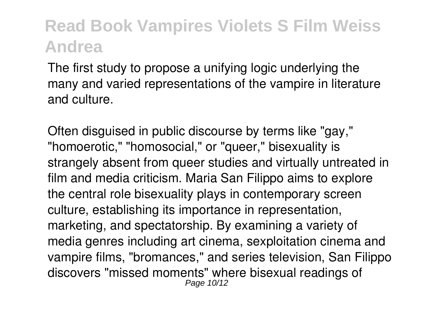The first study to propose a unifying logic underlying the many and varied representations of the vampire in literature and culture.

Often disguised in public discourse by terms like "gay," "homoerotic," "homosocial," or "queer," bisexuality is strangely absent from queer studies and virtually untreated in film and media criticism. Maria San Filippo aims to explore the central role bisexuality plays in contemporary screen culture, establishing its importance in representation, marketing, and spectatorship. By examining a variety of media genres including art cinema, sexploitation cinema and vampire films, "bromances," and series television, San Filippo discovers "missed moments" where bisexual readings of Page 10/12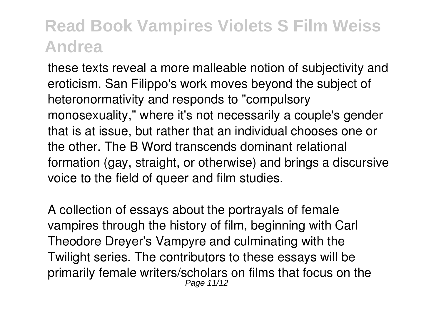these texts reveal a more malleable notion of subjectivity and eroticism. San Filippo's work moves beyond the subject of heteronormativity and responds to "compulsory monosexuality," where it's not necessarily a couple's gender that is at issue, but rather that an individual chooses one or the other. The B Word transcends dominant relational formation (gay, straight, or otherwise) and brings a discursive voice to the field of queer and film studies.

A collection of essays about the portrayals of female vampires through the history of film, beginning with Carl Theodore Dreyer's Vampyre and culminating with the Twilight series. The contributors to these essays will be primarily female writers/scholars on films that focus on the Page 11/12